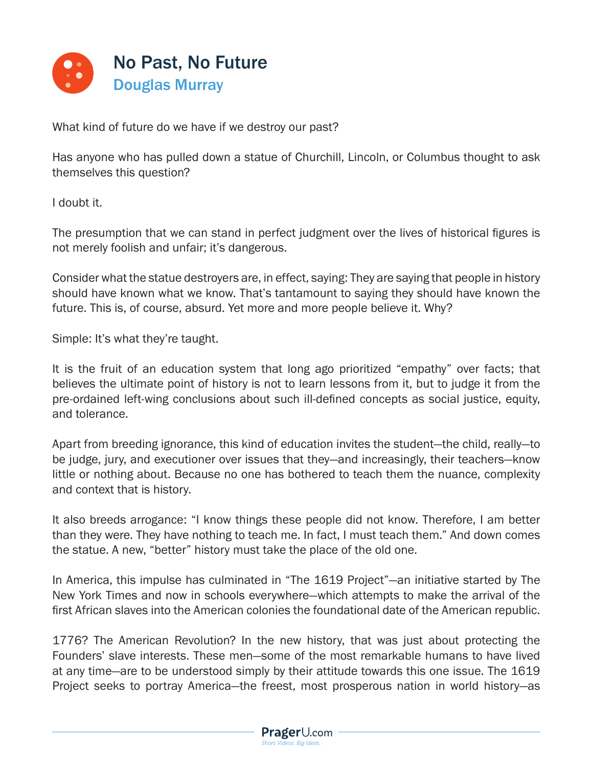

What kind of future do we have if we destroy our past?

Has anyone who has pulled down a statue of Churchill, Lincoln, or Columbus thought to ask themselves this question?

I doubt it.

The presumption that we can stand in perfect judgment over the lives of historical figures is not merely foolish and unfair; it's dangerous.

Consider what the statue destroyers are, in effect, saying: They are saying that people in history should have known what we know. That's tantamount to saying they should have known the future. This is, of course, absurd. Yet more and more people believe it. Why?

Simple: It's what they're taught.

It is the fruit of an education system that long ago prioritized "empathy" over facts; that believes the ultimate point of history is not to learn lessons from it, but to judge it from the pre-ordained left-wing conclusions about such ill-defined concepts as social justice, equity, and tolerance.

Apart from breeding ignorance, this kind of education invites the student—the child, really—to be judge, jury, and executioner over issues that they—and increasingly, their teachers—know little or nothing about. Because no one has bothered to teach them the nuance, complexity and context that is history.

It also breeds arrogance: "I know things these people did not know. Therefore, I am better than they were. They have nothing to teach me. In fact, I must teach them." And down comes the statue. A new, "better" history must take the place of the old one.

In America, this impulse has culminated in "The 1619 Project"—an initiative started by The New York Times and now in schools everywhere—which attempts to make the arrival of the first African slaves into the American colonies the foundational date of the American republic.

1776? The American Revolution? In the new history, that was just about protecting the Founders' slave interests. These men—some of the most remarkable humans to have lived at any time—are to be understood simply by their attitude towards this one issue. The 1619 Project seeks to portray America—the freest, most prosperous nation in world history—as